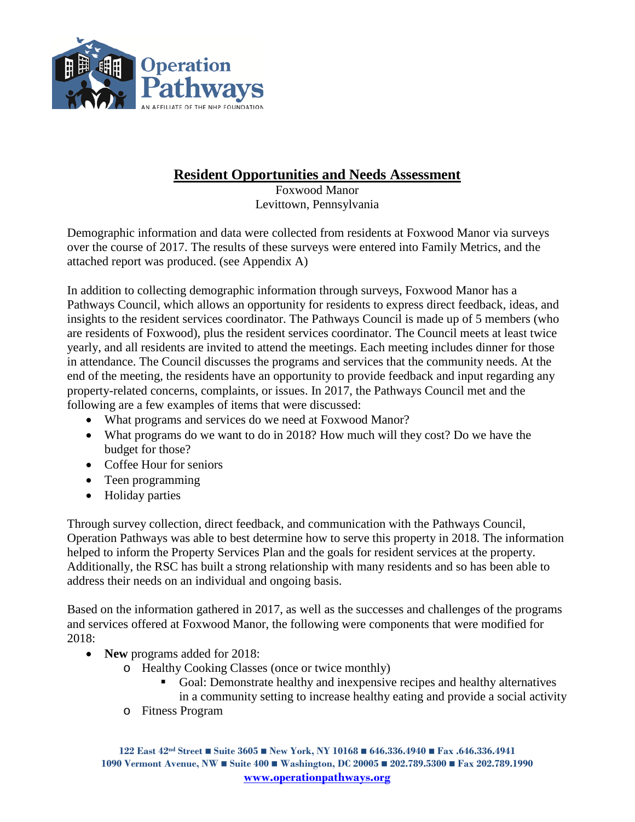

### **Resident Opportunities and Needs Assessment**

Foxwood Manor Levittown, Pennsylvania

Demographic information and data were collected from residents at Foxwood Manor via surveys over the course of 2017. The results of these surveys were entered into Family Metrics, and the attached report was produced. (see Appendix A)

In addition to collecting demographic information through surveys, Foxwood Manor has a Pathways Council, which allows an opportunity for residents to express direct feedback, ideas, and insights to the resident services coordinator. The Pathways Council is made up of 5 members (who are residents of Foxwood), plus the resident services coordinator. The Council meets at least twice yearly, and all residents are invited to attend the meetings. Each meeting includes dinner for those in attendance. The Council discusses the programs and services that the community needs. At the end of the meeting, the residents have an opportunity to provide feedback and input regarding any property-related concerns, complaints, or issues. In 2017, the Pathways Council met and the following are a few examples of items that were discussed:

- What programs and services do we need at Foxwood Manor?
- What programs do we want to do in 2018? How much will they cost? Do we have the budget for those?
- Coffee Hour for seniors
- Teen programming
- Holiday parties

Through survey collection, direct feedback, and communication with the Pathways Council, Operation Pathways was able to best determine how to serve this property in 2018. The information helped to inform the Property Services Plan and the goals for resident services at the property. Additionally, the RSC has built a strong relationship with many residents and so has been able to address their needs on an individual and ongoing basis.

Based on the information gathered in 2017, as well as the successes and challenges of the programs and services offered at Foxwood Manor, the following were components that were modified for 2018:

- **New** programs added for 2018:
	- o Healthy Cooking Classes (once or twice monthly)
		- Goal: Demonstrate healthy and inexpensive recipes and healthy alternatives in a community setting to increase healthy eating and provide a social activity
	- o Fitness Program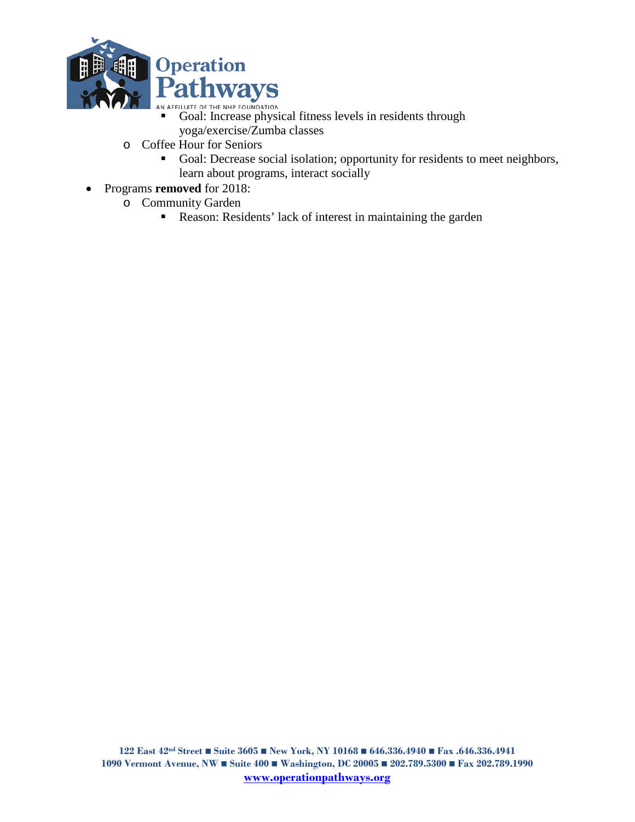

- AN AFFILIATE OF THE NHP FOUNDATION<br> **Goal:** Increase physical fitness levels in residents through yoga/exercise/Zumba classes
- o Coffee Hour for Seniors
	- Goal: Decrease social isolation; opportunity for residents to meet neighbors, learn about programs, interact socially
- Programs **removed** for 2018:
	- o Community Garden
		- Reason: Residents' lack of interest in maintaining the garden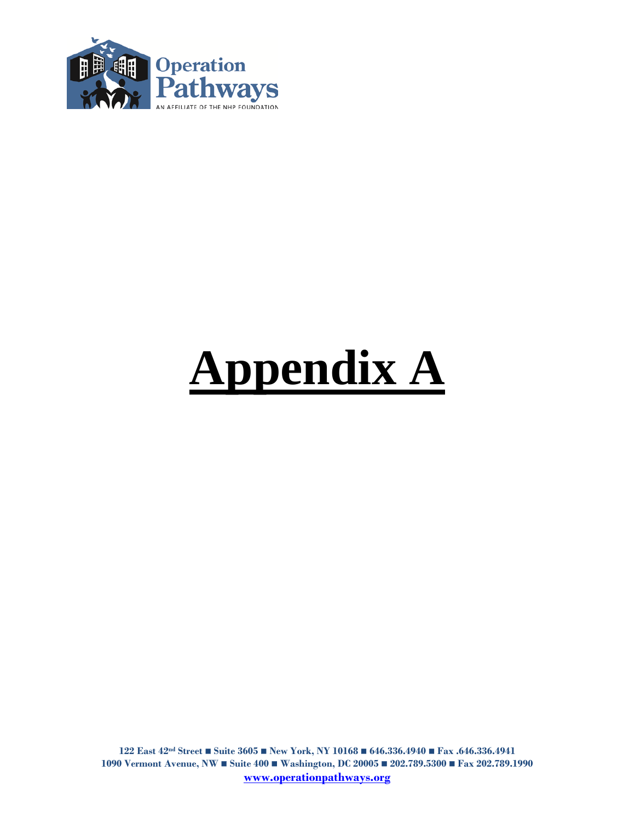

# **Appendix A**

**122 East 42nd Street Suite 3605 New York, NY 10168 646.336.4940 Fax .646.336.4941 1090 Vermont Avenue, NW Suite 400 Washington, DC 20005 202.789.5300 Fax 202.789.1990 [www.operationpathways.org](http://www.operationpathways.org/)**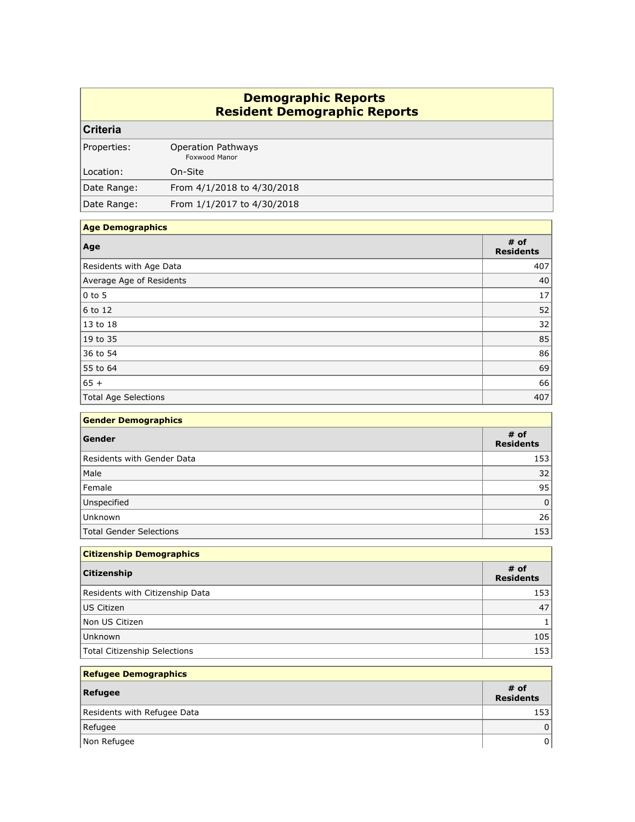#### **Demographic Reports Resident Demographic Reports**

#### **Criteria**

| Properties: | <b>Operation Pathways</b><br>Foxwood Manor |
|-------------|--------------------------------------------|
| Location:   | On-Site                                    |
| Date Range: | From 4/1/2018 to 4/30/2018                 |
| Date Range: | From 1/1/2017 to 4/30/2018                 |

#### **Age Demographics**

| Age                      | # of<br><b>Residents</b> |
|--------------------------|--------------------------|
| Residents with Age Data  | 407                      |
| Average Age of Residents | 40                       |
| $ 0 \text{ to } 5 $      | 17                       |
| $6$ to 12                | 52                       |
| $13$ to 18               | 32                       |
| 19 to 35                 | 85                       |
| 36 to 54                 | 86                       |
| 55 to 64                 | 69                       |
| $65 +$                   | 66                       |
| Total Age Selections     | 407                      |

| <b>Gender Demographics</b> |                          |
|----------------------------|--------------------------|
| Gender                     | # of<br><b>Residents</b> |
| Residents with Gender Data | 153                      |
| Male                       | 32                       |
| Female                     | 95                       |
| Unspecified                |                          |
| Unknown                    | 26                       |
| Total Gender Selections    | 153                      |

| <b>Citizenship Demographics</b> |                          |
|---------------------------------|--------------------------|
| Citizenship                     | # of<br><b>Residents</b> |
| Residents with Citizenship Data | 153                      |
| US Citizen                      | 47                       |
| Non US Citizen                  |                          |
| Unknown                         | 105                      |
| Total Citizenship Selections    | 153 <sub>1</sub>         |

| <b>Refugee Demographics</b> |                          |
|-----------------------------|--------------------------|
| Refugee                     | # of<br><b>Residents</b> |
| Residents with Refugee Data | 153                      |
| Refugee                     | 0                        |
| Non Refugee                 | U.                       |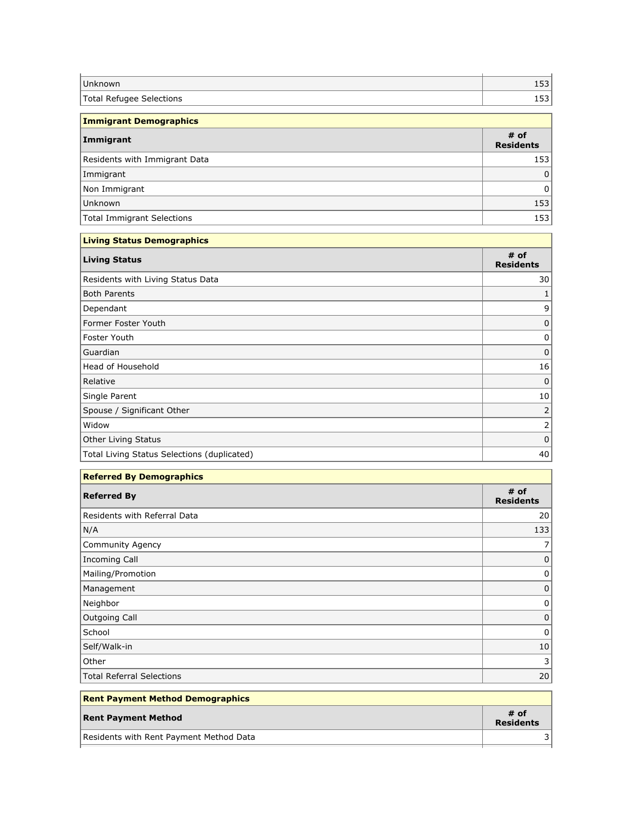| Unknown                     | $-2$<br>ᅩJJ     |
|-----------------------------|-----------------|
| Total Refugee<br>Selections | $\Gamma$<br>⊥ാാ |
|                             |                 |

| <b>Immigrant Demographics</b> |                          |
|-------------------------------|--------------------------|
| Immigrant                     | # of<br><b>Residents</b> |
| Residents with Immigrant Data | 153                      |
| Immigrant                     | 0                        |
| Non Immigrant                 | 0                        |
| Unknown                       | 153                      |
| Total Immigrant Selections    | 153                      |
| Living Status Domographics    |                          |

| <b>Living Status Demographics</b> |  |
|-----------------------------------|--|
| # of<br><b>Residents</b>          |  |
| 30                                |  |
|                                   |  |
| q                                 |  |
|                                   |  |
| 0                                 |  |
| 0                                 |  |
| 16                                |  |
| 0                                 |  |
| 10                                |  |
|                                   |  |
| ∍                                 |  |
| $\Omega$                          |  |
| 40                                |  |
|                                   |  |

| <b>Referred By Demographics</b> |                          |
|---------------------------------|--------------------------|
| <b>Referred By</b>              | # of<br><b>Residents</b> |
| Residents with Referral Data    | 20                       |
| N/A                             | 133                      |
| Community Agency                |                          |
| Incoming Call                   | O                        |
| Mailing/Promotion               | C                        |
| Management                      | 0                        |
| Neighbor                        | 0                        |
| Outgoing Call                   | 0                        |
| School                          | O                        |
| Self/Walk-in                    | 10                       |
| Other                           | 3                        |
| Total Referral Selections       | 20                       |

| <b>Rent Payment Method Demographics</b> |                          |
|-----------------------------------------|--------------------------|
| <b>Rent Payment Method</b>              | # of<br><b>Residents</b> |
| Residents with Rent Payment Method Data |                          |
|                                         |                          |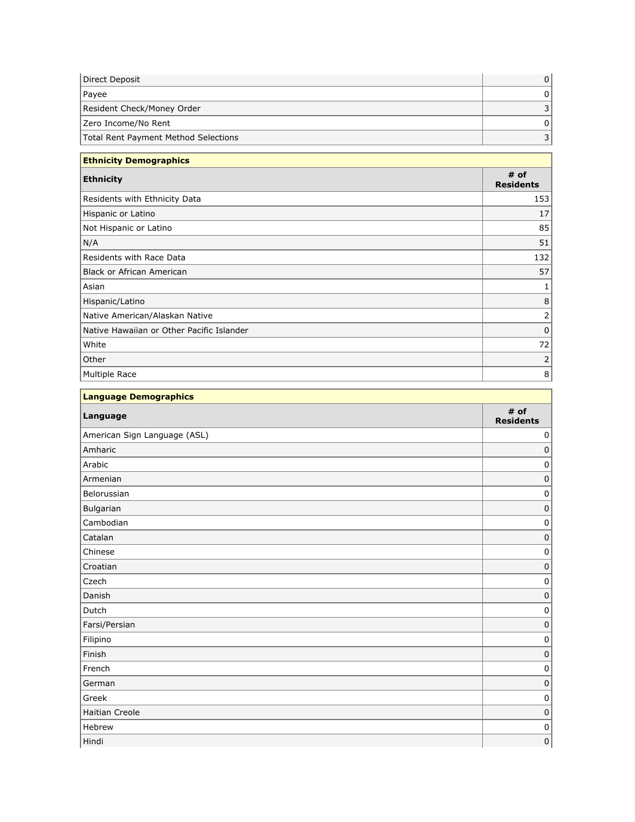| Direct Deposit                       |  |
|--------------------------------------|--|
| Payee                                |  |
| Resident Check/Money Order           |  |
| Zero Income/No Rent                  |  |
| Total Rent Payment Method Selections |  |

| <b>Ethnicity Demographics</b>             |                          |
|-------------------------------------------|--------------------------|
| <b>Ethnicity</b>                          | # of<br><b>Residents</b> |
| Residents with Ethnicity Data             | 153                      |
| Hispanic or Latino                        | 17                       |
| Not Hispanic or Latino                    | 85                       |
| N/A                                       | 51                       |
| Residents with Race Data                  | 132                      |
| Black or African American                 | 57                       |
| Asian                                     |                          |
| Hispanic/Latino                           | 8                        |
| Native American/Alaskan Native            |                          |
| Native Hawaiian or Other Pacific Islander | 0                        |
| White                                     | 72                       |
| Other                                     |                          |
| Multiple Race                             | 8                        |

| Language Demographics        |                          |  |
|------------------------------|--------------------------|--|
| Language                     | # of<br><b>Residents</b> |  |
| American Sign Language (ASL) | $\mathbf 0$              |  |
| Amharic                      | $\mathbf 0$              |  |
| Arabic                       | 0                        |  |
| Armenian                     | $\mathbf 0$              |  |
| Belorussian                  | 0                        |  |
| Bulgarian                    | $\pmb{0}$                |  |
| Cambodian                    | 0                        |  |
| Catalan                      | $\mathbf 0$              |  |
| Chinese                      | 0                        |  |
| Croatian                     | $\pmb{0}$                |  |
| Czech                        | $\mathbf 0$              |  |
| Danish                       | $\mathbf 0$              |  |
| Dutch                        | 0                        |  |
| Farsi/Persian                | 0                        |  |
| Filipino                     | $\mathbf 0$              |  |
| Finish                       | $\mathbf 0$              |  |
| French                       | $\pmb{0}$                |  |
| German                       | $\mathbf 0$              |  |
| Greek                        | $\mathbf 0$              |  |
| Haitian Creole               | $\mathbf 0$              |  |
| Hebrew                       | 0                        |  |
| Hindi                        | $\mathbf 0$              |  |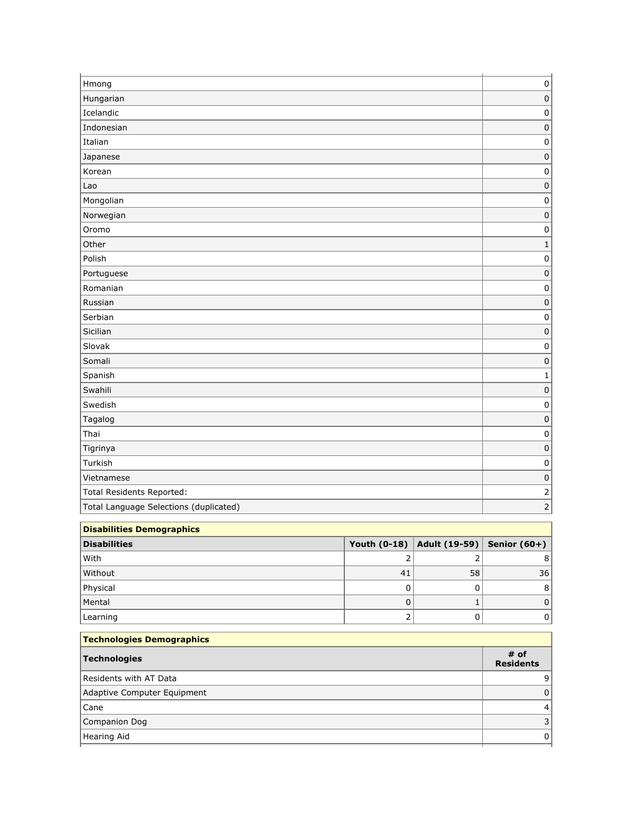| Hmong                                  | $\pmb{0}$    |
|----------------------------------------|--------------|
| Hungarian                              | $\mathbf 0$  |
| Icelandic                              | 0            |
| Indonesian                             | $\pmb{0}$    |
| Italian                                | $\pmb{0}$    |
| Japanese                               | $\pmb{0}$    |
| Korean                                 | $\pmb{0}$    |
| Lao                                    | $\mathbf 0$  |
| Mongolian                              | $\pmb{0}$    |
| Norwegian                              | $\pmb{0}$    |
| Oromo                                  | 0            |
| Other                                  | $\mathbf{1}$ |
| Polish                                 | $\pmb{0}$    |
| Portuguese                             | $\mathbf 0$  |
| Romanian                               | $\pmb{0}$    |
| Russian                                | $\pmb{0}$    |
| Serbian                                | 0            |
| Sicilian                               | $\pmb{0}$    |
| Slovak                                 | $\pmb{0}$    |
| Somali                                 | $\pmb{0}$    |
| Spanish                                | $\mathbf 1$  |
| Swahili                                | $\pmb{0}$    |
| Swedish                                | $\pmb{0}$    |
| Tagalog                                | $\pmb{0}$    |
| Thai                                   | $\pmb{0}$    |
| Tigrinya                               | $\pmb{0}$    |
| Turkish                                | $\pmb{0}$    |
| Vietnamese                             | $\pmb{0}$    |
| Total Residents Reported:              |              |
| Total Language Selections (duplicated) |              |
| <b>The Contract Contract</b>           |              |

| Disabilities Demographics |     |                                             |                 |
|---------------------------|-----|---------------------------------------------|-----------------|
| <b>Disabilities</b>       |     | Youth (0-18)   Adult (19-59)   Senior (60+) |                 |
| With                      |     |                                             |                 |
| Without                   | -41 | 58                                          | 36 <sub>1</sub> |
| Physical                  |     |                                             |                 |
| Mental                    |     |                                             |                 |
| Learning                  |     |                                             |                 |

| # of<br>Technologies        |
|-----------------------------|
| <b>Residents</b>            |
| Residents with AT Data      |
| Adaptive Computer Equipment |
| Cane                        |
| Companion Dog               |
| Hearing Aid                 |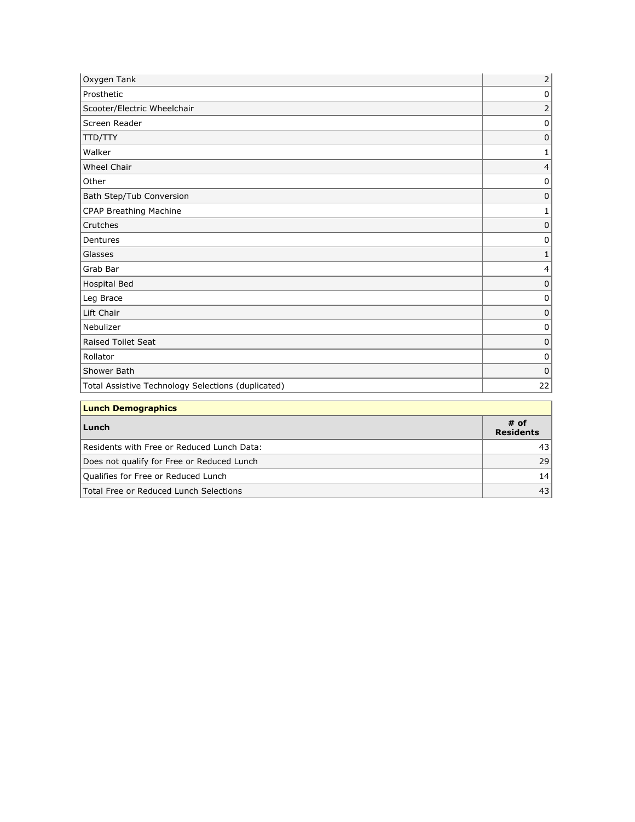| Oxygen Tank                                        | $\overline{2}$ |
|----------------------------------------------------|----------------|
| Prosthetic                                         | 0              |
| Scooter/Electric Wheelchair                        |                |
| Screen Reader                                      | $\Omega$       |
| <b>TTD/TTY</b>                                     | 0              |
| Walker                                             |                |
| Wheel Chair                                        |                |
| Other                                              | $\Omega$       |
| Bath Step/Tub Conversion                           | $\Omega$       |
| CPAP Breathing Machine                             |                |
| Crutches                                           | U              |
| Dentures                                           | 0              |
| Glasses                                            |                |
| Grab Bar                                           |                |
| Hospital Bed                                       | 0              |
| Leg Brace                                          | 0              |
| Lift Chair                                         | 0              |
| Nebulizer                                          | 0              |
| Raised Toilet Seat                                 | $\Omega$       |
| Rollator                                           | 0              |
| Shower Bath                                        | 0              |
| Total Assistive Technology Selections (duplicated) | 22             |
| <b>Lunch Demographics</b>                          |                |

| Lunch                                      | # of<br><b>Residents</b> |  |  |
|--------------------------------------------|--------------------------|--|--|
| Residents with Free or Reduced Lunch Data: | 43                       |  |  |
| Does not qualify for Free or Reduced Lunch | 29                       |  |  |
| Qualifies for Free or Reduced Lunch        | 14                       |  |  |
| Total Free or Reduced Lunch Selections     | 43                       |  |  |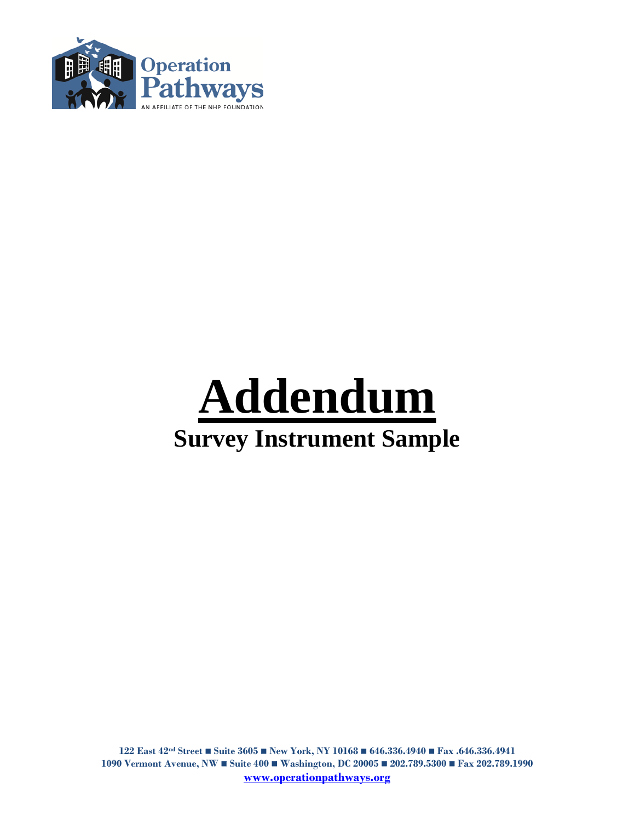

## **Addendum Survey Instrument Sample**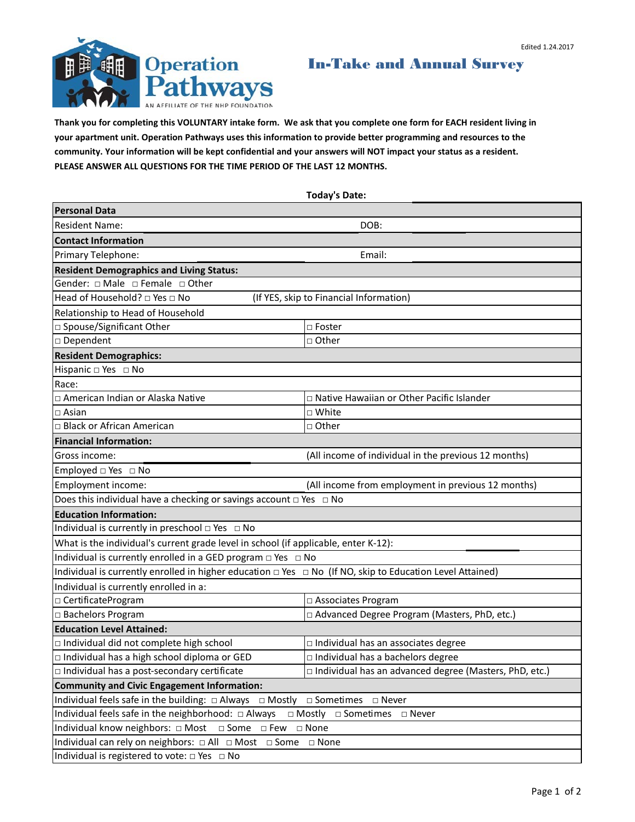

In-Take and Annual Survey

**Thank you for completing this VOLUNTARY intake form. We ask that you complete one form for EACH resident living in your apartment unit. Operation Pathways uses this information to provide better programming and resources to the community. Your information will be kept confidential and your answers will NOT impact your status as a resident. PLEASE ANSWER ALL QUESTIONS FOR THE TIME PERIOD OF THE LAST 12 MONTHS.**

**Today's Date: Personal Data** Resident Name: DOB: **Contact Information** Primary Telephone: Email: Email: Email: Email: Email: Email: Email: Email: Email: Email: Email: Email: Email: Email: Email: Email: Email: Email: Email: Email: Email: Email: Email: Email: Email: Email: Email: Email: Email: **Resident Demographics and Living Status:** Gender: □ Male □ Female □ Other Head of Household? □ Yes □ No (If YES, skip to Financial Information) Relationship to Head of Household □ Spouse/Significant Other □ □ Foster □ Dependent □ Other **Resident Demographics:**  Hispanic □ Yes □ No Race: □ American Indian or Alaska Native □ Native Hawaiian or Other Pacific Islander □ Asian □ White □ Black or African American □ □ □ Other **Financial Information:** Gross income: (All income of individual in the previous 12 months) Employed □ Yes □ No Employment income: (All income from employment in previous 12 months) Does this individual have a checking or savings account  $\Box$  Yes  $\Box$  No **Education Information:**  Individual is currently in preschool  $\Box$  Yes  $\Box$  No What is the individual's current grade level in school (if applicable, enter K-12): Individual is currently enrolled in a GED program  $\Box$  Yes  $\Box$  No Individual is currently enrolled in higher education  $\Box$  Yes  $\Box$  No (If NO, skip to Education Level Attained) Individual is currently enrolled in a: □ CertificateProgram □ Associates Program □ Bachelors Program □ Advanced Degree Program (Masters, PhD, etc.) □ Individual did not complete high school | Individual has an associates degree □ Individual has a high school diploma or GED | | Individual has a bachelors degree □ Individual has a post-secondary certificate □ Individual has an advanced degree (Masters, PhD, etc.) Individual feels safe in the building: □ Always □ Mostly □ Sometimes □ Never Individual feels safe in the neighborhood: □ Always □ Mostly □ Sometimes □ Never Individual know neighbors: □ Most □ Some □ Few □ None Individual can rely on neighbors: □ All □ Most □ Some □ None Individual is registered to vote: □ Yes □ No **Community and Civic Engagement Information: Education Level Attained:**